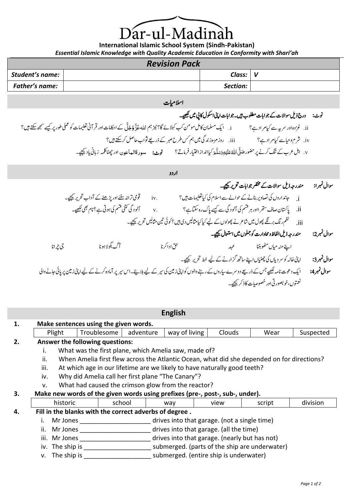Dar-ul-Madinah

**International Islamic School System (Sindh-Pakistan)** *Essential Islamic Knowledge with Quality Academic Education in Conformity with Shari'ah*

# *Revision Pack*

| ILVIJIVII I UUN |  |          |  |  |  |  |
|-----------------|--|----------|--|--|--|--|
| Student's name: |  | Class:   |  |  |  |  |
| Father's name:  |  | Section: |  |  |  |  |

# اسلامیات

# نوٹ: درج ذیل سوالات کے جوابات مطلوب ہیں۔جوابات اپنی اسکول کانی میں <u>لکھ</u>ے۔

| i. ایک مسلمان کامل مومن کب کہلائے گا؟ نیز ہم الله عَزَّ وَجَلَّ کے احکامات اور قر آنی تعلیمات کو عملی طور پر کیسے سمجھ سکتے ہیں؟ | ii. غزوہ اور سریہ سے کیامر ادہے؟ |
|----------------------------------------------------------------------------------------------------------------------------------|----------------------------------|
| .iii. روز مرَّہ ذند گی میں ہم <i>کس طرح صبر کے ذ</i> ریعے ثواب حاصل کر <del>سکتے</del> ہیں؟                                      | iv. شرم وحیاسے کیامر ادے؟        |
| <b>نوٺ:</b> سود قالعاعون ا <i>ور چھٹاکلم</i> ه زبانی یاد ﷺ۔                                                                      |                                  |

|            |                                                | اردو                 |                                                                                                                                                    |                                                     |             |
|------------|------------------------------------------------|----------------------|----------------------------------------------------------------------------------------------------------------------------------------------------|-----------------------------------------------------|-------------|
|            |                                                |                      |                                                                                                                                                    | مندرجہ ذیل سوالات کے مختصر جوابات تحریر کیجیے۔      | سوال نمبرا: |
|            | قومی ترانہ سننے اور پڑھنے کے آداب تحریر کیجیے۔ | iv.                  | i. جانداروں کی تصاویر بنانے کے حوالے سے اسلام کی کیاتعلیمات ہیں؟                                                                                   |                                                     |             |
|            | آلود گی کتنی قشم کی ہوتی ہے؟ نام بھی لکھیے۔    | $\bar{\mathbf{v}}$ . | ii. پاکستان صاف ستھر اادر ہر قسم کی آلود گی سے کیسے پاک رہ سکتاہے ؟                                                                                |                                                     |             |
|            |                                                |                      | iii.         نظم رنگ برنگے پھول میں شاعر نے پھولوں کے لیے کیاکیامثالیں دی ہیں؟کوئی تین مثالیں تحریر ﷺ۔                                             |                                                     |             |
|            |                                                |                      |                                                                                                                                                    | مندرجه ذيل الفاظ ومحاوارت كوجملوں ميں استعال کیجیے۔ | سوال ٽمبر2: |
| جي چمه انا | آگ بگولاہونا                                   | حق اداکرنا           |                                                                                                                                                    | اپنے منہ میاں مٹھوبننا ہے ہیں کہ عہد                |             |
|            |                                                |                      | اپنی خالہ کو سر دیاں کی چھٹیاں اپنے ساتھ گزارنے کے لیے خط تحریر کیجیے۔                                                                             |                                                     | سوال نمبر3: |
|            |                                                |                      | ایک دعوت نامہ لکھیے جس کے ذریعے دوسرے ساروں کے رہنے والوں کواپنی زمین کی سیر کے لیے ہلاہئے۔اس سیر پر آمادہ کرنے کے لیے اپنی زمین پر پائی جانے والی |                                                     | سوال نمبر4: |
|            |                                                |                      |                                                                                                                                                    | نعمتوں،خوبصورتی اور خصوصیات کاذ کر کیجیے۔           |             |

| <b>English</b>                              |                                                                              |                                                                                            |             |        |           |               |        |        |           |
|---------------------------------------------|------------------------------------------------------------------------------|--------------------------------------------------------------------------------------------|-------------|--------|-----------|---------------|--------|--------|-----------|
| Make sentences using the given words.<br>1. |                                                                              |                                                                                            |             |        |           |               |        |        |           |
|                                             | Plight                                                                       |                                                                                            | Troublesome |        | adventure | way of living | Clouds | Wear   | Suspected |
| 2.                                          | Answer the following questions:                                              |                                                                                            |             |        |           |               |        |        |           |
|                                             | Ι.                                                                           | What was the first plane, which Amelia saw, made of?                                       |             |        |           |               |        |        |           |
|                                             | ii.                                                                          | When Amelia first flew across the Atlantic Ocean, what did she depended on for directions? |             |        |           |               |        |        |           |
|                                             | iii.                                                                         | At which age in our lifetime are we likely to have naturally good teeth?                   |             |        |           |               |        |        |           |
|                                             | iv.                                                                          | Why did Amelia call her first plane "The Canary"?                                          |             |        |           |               |        |        |           |
|                                             | What had caused the crimson glow from the reactor?<br>v.                     |                                                                                            |             |        |           |               |        |        |           |
| 3.                                          | Make new words of the given words using prefixes (pre-, post-, sub-, under). |                                                                                            |             |        |           |               |        |        |           |
|                                             |                                                                              | historic                                                                                   |             | school |           | way           | view   | script | division  |
| 4.                                          | Fill in the blanks with the correct adverbs of degree.                       |                                                                                            |             |        |           |               |        |        |           |
|                                             |                                                                              | drives into that garage. (not a single time)<br>Mr Jones                                   |             |        |           |               |        |        |           |
|                                             | ii.                                                                          | drives into that garage. (all the time)<br>Mr Jones                                        |             |        |           |               |        |        |           |
|                                             |                                                                              | drives into that garage. (nearly but has not)<br>iii. Mr Jones                             |             |        |           |               |        |        |           |
|                                             | submerged. (parts of the ship are underwater)<br>iv. The ship is             |                                                                                            |             |        |           |               |        |        |           |

v. The ship is \_\_\_\_\_\_\_\_\_\_\_\_\_\_\_\_\_\_\_\_\_\_\_\_\_\_ submerged. (entire ship is underwater)